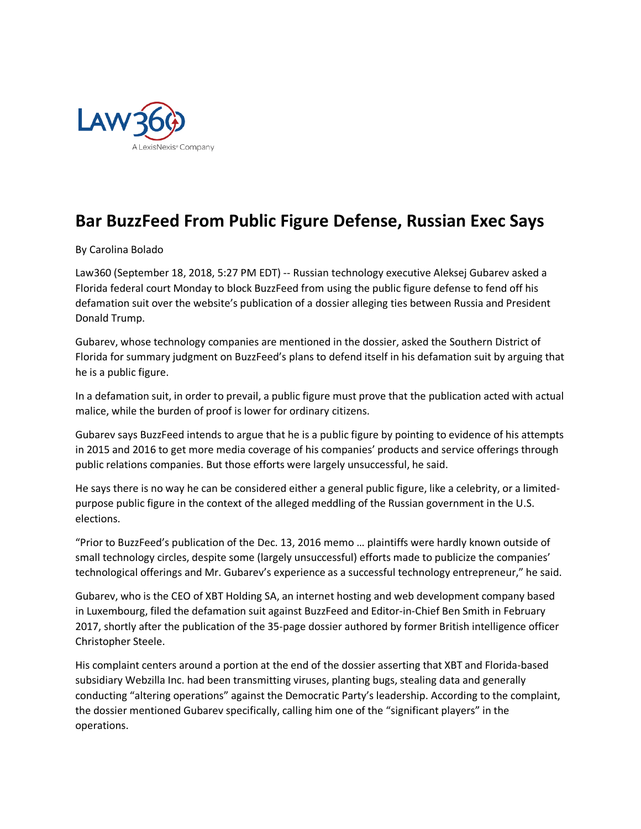

## **Bar BuzzFeed From Public Figure Defense, Russian Exec Says**

By Carolina Bolado

Law360 (September 18, 2018, 5:27 PM EDT) -- Russian technology executive Aleksej Gubarev asked a Florida federal court Monday to block BuzzFeed from using the public figure defense to fend off his defamation suit over the website's publication of a dossier alleging ties between Russia and President Donald Trump.

Gubarev, whose technology companies are mentioned in the dossier, asked the Southern District of Florida for summary judgment on BuzzFeed's plans to defend itself in his defamation suit by arguing that he is a public figure.

In a defamation suit, in order to prevail, a public figure must prove that the publication acted with actual malice, while the burden of proof is lower for ordinary citizens.

Gubarev says BuzzFeed intends to argue that he is a public figure by pointing to evidence of his attempts in 2015 and 2016 to get more media coverage of his companies' products and service offerings through public relations companies. But those efforts were largely unsuccessful, he said.

He says there is no way he can be considered either a general public figure, like a celebrity, or a limitedpurpose public figure in the context of the alleged meddling of the Russian government in the U.S. elections.

"Prior to BuzzFeed's publication of the Dec. 13, 2016 memo … plaintiffs were hardly known outside of small technology circles, despite some (largely unsuccessful) efforts made to publicize the companies' technological offerings and Mr. Gubarev's experience as a successful technology entrepreneur," he said.

Gubarev, who is the CEO of XBT Holding SA, an internet hosting and web development company based in Luxembourg, filed the defamation suit against BuzzFeed and Editor-in-Chief Ben Smith in February 2017, shortly after the publication of the 35-page dossier authored by former British intelligence officer Christopher Steele.

His complaint centers around a portion at the end of the dossier asserting that XBT and Florida-based subsidiary Webzilla Inc. had been transmitting viruses, planting bugs, stealing data and generally conducting "altering operations" against the Democratic Party's leadership. According to the complaint, the dossier mentioned Gubarev specifically, calling him one of the "significant players" in the operations.